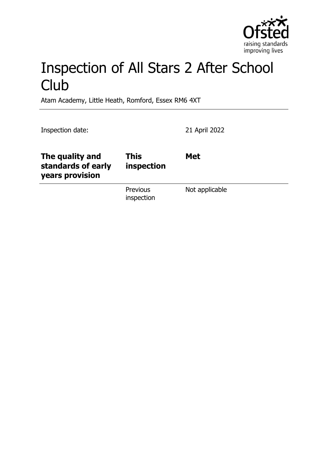

# Inspection of All Stars 2 After School **Club**

Atam Academy, Little Heath, Romford, Essex RM6 4XT

Inspection date: 21 April 2022

| The quality and<br>standards of early<br>years provision | <b>This</b><br>inspection | <b>Met</b>     |
|----------------------------------------------------------|---------------------------|----------------|
|                                                          | Previous<br>inspection    | Not applicable |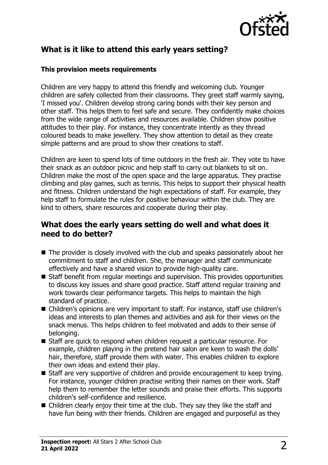

# **What is it like to attend this early years setting?**

#### **This provision meets requirements**

Children are very happy to attend this friendly and welcoming club. Younger children are safely collected from their classrooms. They greet staff warmly saying, 'I missed you'. Children develop strong caring bonds with their key person and other staff. This helps them to feel safe and secure. They confidently make choices from the wide range of activities and resources available. Children show positive attitudes to their play. For instance, they concentrate intently as they thread coloured beads to make jewellery. They show attention to detail as they create simple patterns and are proud to show their creations to staff.

Children are keen to spend lots of time outdoors in the fresh air. They vote to have their snack as an outdoor picnic and help staff to carry out blankets to sit on. Children make the most of the open space and the large apparatus. They practise climbing and play games, such as tennis. This helps to support their physical health and fitness. Children understand the high expectations of staff. For example, they help staff to formulate the rules for positive behaviour within the club. They are kind to others, share resources and cooperate during their play.

#### **What does the early years setting do well and what does it need to do better?**

- $\blacksquare$  The provider is closely involved with the club and speaks passionately about her commitment to staff and children. She, the manager and staff communicate effectively and have a shared vision to provide high-quality care.
- $\blacksquare$  Staff benefit from regular meetings and supervision. This provides opportunities to discuss key issues and share good practice. Staff attend regular training and work towards clear performance targets. This helps to maintain the high standard of practice.
- Children's opinions are very important to staff. For instance, staff use children's ideas and interests to plan themes and activities and ask for their views on the snack menus. This helps children to feel motivated and adds to their sense of belonging.
- Staff are quick to respond when children request a particular resource. For example, children playing in the pretend hair salon are keen to wash the dolls' hair, therefore, staff provide them with water. This enables children to explore their own ideas and extend their play.
- $\blacksquare$  Staff are very supportive of children and provide encouragement to keep trying. For instance, younger children practise writing their names on their work. Staff help them to remember the letter sounds and praise their efforts. This supports children's self-confidence and resilience.
- $\blacksquare$  Children clearly enjoy their time at the club. They say they like the staff and have fun being with their friends. Children are engaged and purposeful as they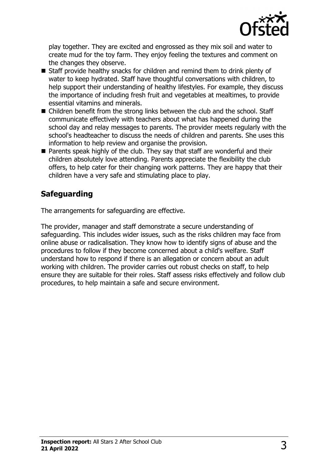

play together. They are excited and engrossed as they mix soil and water to create mud for the toy farm. They enjoy feeling the textures and comment on the changes they observe.

- $\blacksquare$  Staff provide healthy snacks for children and remind them to drink plenty of water to keep hydrated. Staff have thoughtful conversations with children, to help support their understanding of healthy lifestyles. For example, they discuss the importance of including fresh fruit and vegetables at mealtimes, to provide essential vitamins and minerals.
- $\blacksquare$  Children benefit from the strong links between the club and the school. Staff communicate effectively with teachers about what has happened during the school day and relay messages to parents. The provider meets regularly with the school's headteacher to discuss the needs of children and parents. She uses this information to help review and organise the provision.
- $\blacksquare$  Parents speak highly of the club. They say that staff are wonderful and their children absolutely love attending. Parents appreciate the flexibility the club offers, to help cater for their changing work patterns. They are happy that their children have a very safe and stimulating place to play.

# **Safeguarding**

The arrangements for safeguarding are effective.

The provider, manager and staff demonstrate a secure understanding of safeguarding. This includes wider issues, such as the risks children may face from online abuse or radicalisation. They know how to identify signs of abuse and the procedures to follow if they become concerned about a child's welfare. Staff understand how to respond if there is an allegation or concern about an adult working with children. The provider carries out robust checks on staff, to help ensure they are suitable for their roles. Staff assess risks effectively and follow club procedures, to help maintain a safe and secure environment.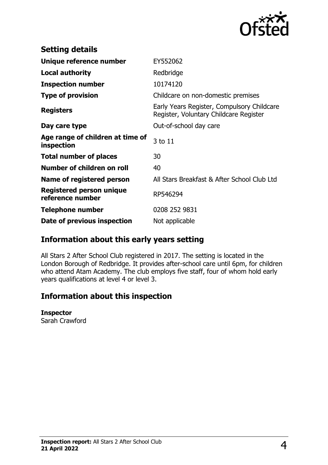

| <b>Setting details</b>                              |                                                                                      |
|-----------------------------------------------------|--------------------------------------------------------------------------------------|
| Unique reference number                             | EY552062                                                                             |
| <b>Local authority</b>                              | Redbridge                                                                            |
| <b>Inspection number</b>                            | 10174120                                                                             |
| <b>Type of provision</b>                            | Childcare on non-domestic premises                                                   |
| <b>Registers</b>                                    | Early Years Register, Compulsory Childcare<br>Register, Voluntary Childcare Register |
| Day care type                                       | Out-of-school day care                                                               |
| Age range of children at time of<br>inspection      | 3 to 11                                                                              |
| <b>Total number of places</b>                       | 30                                                                                   |
| Number of children on roll                          | 40                                                                                   |
| Name of registered person                           | All Stars Breakfast & After School Club Ltd                                          |
| <b>Registered person unique</b><br>reference number | RP546294                                                                             |
| <b>Telephone number</b>                             | 0208 252 9831                                                                        |
| Date of previous inspection                         | Not applicable                                                                       |

## **Information about this early years setting**

All Stars 2 After School Club registered in 2017. The setting is located in the London Borough of Redbridge. It provides after-school care until 6pm, for children who attend Atam Academy. The club employs five staff, four of whom hold early years qualifications at level 4 or level 3.

## **Information about this inspection**

#### **Inspector**

Sarah Crawford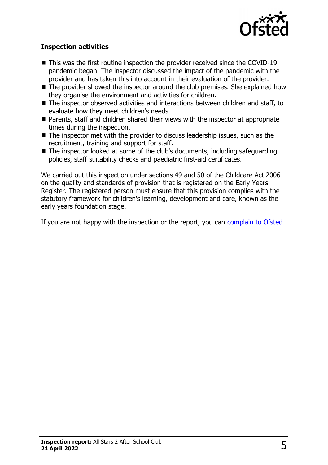

#### **Inspection activities**

- $\blacksquare$  This was the first routine inspection the provider received since the COVID-19 pandemic began. The inspector discussed the impact of the pandemic with the provider and has taken this into account in their evaluation of the provider.
- $\blacksquare$  The provider showed the inspector around the club premises. She explained how they organise the environment and activities for children.
- $\blacksquare$  The inspector observed activities and interactions between children and staff, to evaluate how they meet children's needs.
- Parents, staff and children shared their views with the inspector at appropriate times during the inspection.
- $\blacksquare$  The inspector met with the provider to discuss leadership issues, such as the recruitment, training and support for staff.
- $\blacksquare$  The inspector looked at some of the club's documents, including safeguarding policies, staff suitability checks and paediatric first-aid certificates.

We carried out this inspection under sections 49 and 50 of the Childcare Act 2006 on the quality and standards of provision that is registered on the Early Years Register. The registered person must ensure that this provision complies with the statutory framework for children's learning, development and care, known as the early years foundation stage.

If you are not happy with the inspection or the report, you can [complain to Ofsted](http://www.gov.uk/complain-ofsted-report).